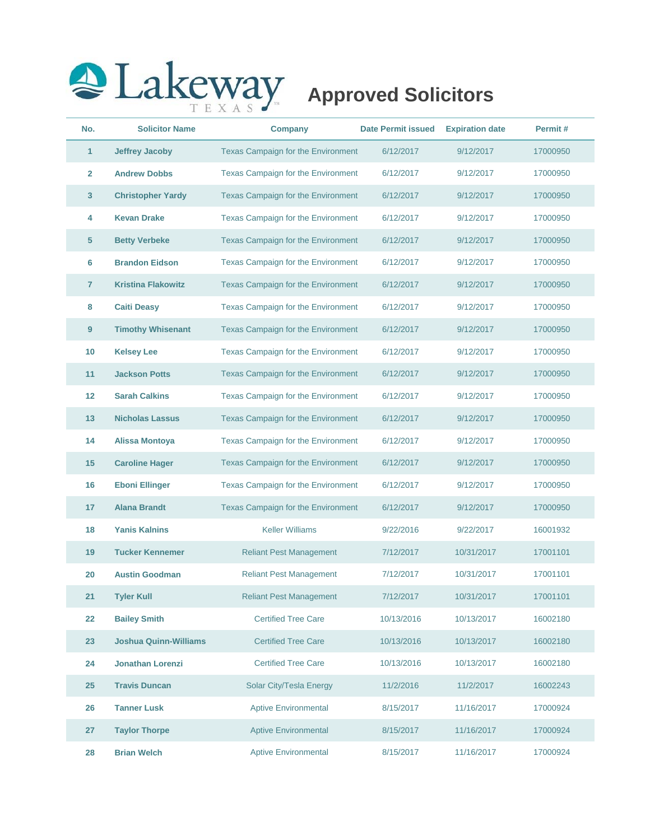

|  | No.             | <b>Solicitor Name</b>        | <b>Company</b>                     | <b>Date Permit issued</b> | <b>Expiration date</b> | Permit#  |
|--|-----------------|------------------------------|------------------------------------|---------------------------|------------------------|----------|
|  | 1               | <b>Jeffrey Jacoby</b>        | Texas Campaign for the Environment | 6/12/2017                 | 9/12/2017              | 17000950 |
|  | $\overline{2}$  | <b>Andrew Dobbs</b>          | Texas Campaign for the Environment | 6/12/2017                 | 9/12/2017              | 17000950 |
|  | 3               | <b>Christopher Yardy</b>     | Texas Campaign for the Environment | 6/12/2017                 | 9/12/2017              | 17000950 |
|  | 4               | <b>Kevan Drake</b>           | Texas Campaign for the Environment | 6/12/2017                 | 9/12/2017              | 17000950 |
|  | $5\phantom{.0}$ | <b>Betty Verbeke</b>         | Texas Campaign for the Environment | 6/12/2017                 | 9/12/2017              | 17000950 |
|  | 6               | <b>Brandon Eidson</b>        | Texas Campaign for the Environment | 6/12/2017                 | 9/12/2017              | 17000950 |
|  | $\overline{7}$  | <b>Kristina Flakowitz</b>    | Texas Campaign for the Environment | 6/12/2017                 | 9/12/2017              | 17000950 |
|  | 8               | <b>Caiti Deasy</b>           | Texas Campaign for the Environment | 6/12/2017                 | 9/12/2017              | 17000950 |
|  | 9               | <b>Timothy Whisenant</b>     | Texas Campaign for the Environment | 6/12/2017                 | 9/12/2017              | 17000950 |
|  | 10              | <b>Kelsey Lee</b>            | Texas Campaign for the Environment | 6/12/2017                 | 9/12/2017              | 17000950 |
|  | 11              | <b>Jackson Potts</b>         | Texas Campaign for the Environment | 6/12/2017                 | 9/12/2017              | 17000950 |
|  | 12              | <b>Sarah Calkins</b>         | Texas Campaign for the Environment | 6/12/2017                 | 9/12/2017              | 17000950 |
|  | 13              | <b>Nicholas Lassus</b>       | Texas Campaign for the Environment | 6/12/2017                 | 9/12/2017              | 17000950 |
|  | 14              | <b>Alissa Montoya</b>        | Texas Campaign for the Environment | 6/12/2017                 | 9/12/2017              | 17000950 |
|  | 15              | <b>Caroline Hager</b>        | Texas Campaign for the Environment | 6/12/2017                 | 9/12/2017              | 17000950 |
|  | 16              | <b>Eboni Ellinger</b>        | Texas Campaign for the Environment | 6/12/2017                 | 9/12/2017              | 17000950 |
|  | 17              | <b>Alana Brandt</b>          | Texas Campaign for the Environment | 6/12/2017                 | 9/12/2017              | 17000950 |
|  | 18              | <b>Yanis Kalnins</b>         | <b>Keller Williams</b>             | 9/22/2016                 | 9/22/2017              | 16001932 |
|  | 19              | <b>Tucker Kennemer</b>       | <b>Reliant Pest Management</b>     | 7/12/2017                 | 10/31/2017             | 17001101 |
|  | 20              | <b>Austin Goodman</b>        | <b>Reliant Pest Management</b>     | 7/12/2017                 | 10/31/2017             | 17001101 |
|  | 21              | <b>Tyler Kull</b>            | <b>Reliant Pest Management</b>     | 7/12/2017                 | 10/31/2017             | 17001101 |
|  | 22              | <b>Bailey Smith</b>          | <b>Certified Tree Care</b>         | 10/13/2016                | 10/13/2017             | 16002180 |
|  | 23              | <b>Joshua Quinn-Williams</b> | <b>Certified Tree Care</b>         | 10/13/2016                | 10/13/2017             | 16002180 |
|  | 24              | <b>Jonathan Lorenzi</b>      | <b>Certified Tree Care</b>         | 10/13/2016                | 10/13/2017             | 16002180 |
|  | 25              | <b>Travis Duncan</b>         | Solar City/Tesla Energy            | 11/2/2016                 | 11/2/2017              | 16002243 |
|  | 26              | <b>Tanner Lusk</b>           | <b>Aptive Environmental</b>        | 8/15/2017                 | 11/16/2017             | 17000924 |
|  | 27              | <b>Taylor Thorpe</b>         | <b>Aptive Environmental</b>        | 8/15/2017                 | 11/16/2017             | 17000924 |
|  | 28              | <b>Brian Welch</b>           | <b>Aptive Environmental</b>        | 8/15/2017                 | 11/16/2017             | 17000924 |